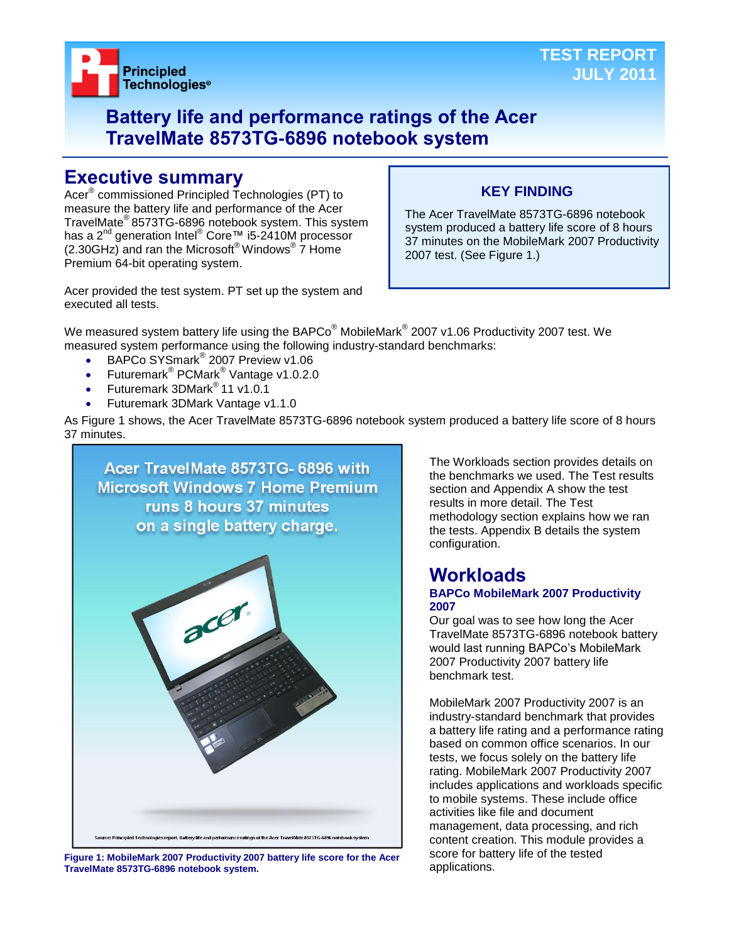

## **Battery life and performance ratings of the Acer TravelMate 8573TG-6896 notebook system**

## **Executive summary**

Acer® commissioned Principled Technologies (PT) to measure the battery life and performance of the Acer TravelMate® 8573TG-6896 notebook system. This system has a 2<sup>nd</sup> generation Intel<sup>®</sup> Core™ i5-2410M processor  $(2.30$ GHz) and ran the Microsoft® Windows®  $\overline{7}$  Home Premium 64-bit operating system.

## **KEY FINDING**

The Acer TravelMate 8573TG-6896 notebook system produced a battery life score of 8 hours 37 minutes on the MobileMark 2007 Productivity 2007 test. (See Figure 1.)

Acer provided the test system. PT set up the system and executed all tests.

We measured system battery life using the BAPCo $^\circ$  MobileMark $^\circ$  2007 v1.06 Productivity 2007 test. We measured system performance using the following industry-standard benchmarks:

- BAPCo SYSmark<sup>®</sup> 2007 Preview v1.06
- Futuremark<sup>®</sup> PCMark<sup>®</sup> Vantage v1.0.2.0
- Futuremark 3DMark® 11 v1.0.1
- Futuremark 3DMark Vantage v1.1.0

As Figure 1 shows, the Acer TravelMate 8573TG-6896 notebook system produced a battery life score of 8 hours 37 minutes.



**Figure 1: MobileMark 2007 Productivity 2007 battery life score for the Acer TravelMate 8573TG-6896 notebook system.**

The Workloads section provides details on the benchmarks we used. The Test results section and Appendix A show the test results in more detail. The Test methodology section explains how we ran the tests. Appendix B details the system configuration.

### **Workloads BAPCo MobileMark 2007 Productivity 2007**

Our goal was to see how long the Acer TravelMate 8573TG-6896 notebook battery would last running BAPCo's MobileMark 2007 Productivity 2007 battery life benchmark test.

MobileMark 2007 Productivity 2007 is an industry-standard benchmark that provides a battery life rating and a performance rating based on common office scenarios. In our tests, we focus solely on the battery life rating. MobileMark 2007 Productivity 2007 includes applications and workloads specific to mobile systems. These include office activities like file and document management, data processing, and rich content creation. This module provides a score for battery life of the tested applications.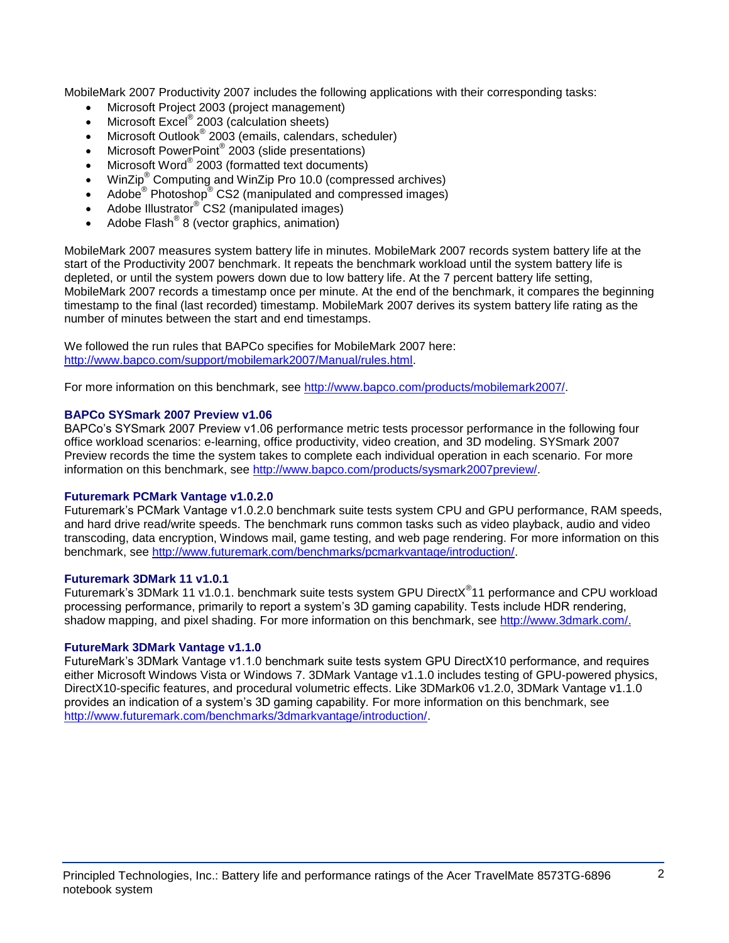MobileMark 2007 Productivity 2007 includes the following applications with their corresponding tasks:

- Microsoft Project 2003 (project management)
- Microsoft Excel<sup>®</sup> 2003 (calculation sheets)
- Microsoft Outlook<sup>®</sup> 2003 (emails, calendars, scheduler)
- Microsoft PowerPoint® 2003 (slide presentations)
- Microsoft Word® 2003 (formatted text documents)
- WinZip® Computing and WinZip Pro 10.0 (compressed archives)
- Adobe  $^{\circ}$  Photoshop $^{\circ}$  CS2 (manipulated and compressed images)
- Adobe Illustrator® CS2 (manipulated images)
- $\bullet$  Adobe Flash<sup>®</sup> 8 (vector graphics, animation)

MobileMark 2007 measures system battery life in minutes. MobileMark 2007 records system battery life at the start of the Productivity 2007 benchmark. It repeats the benchmark workload until the system battery life is depleted, or until the system powers down due to low battery life. At the 7 percent battery life setting, MobileMark 2007 records a timestamp once per minute. At the end of the benchmark, it compares the beginning timestamp to the final (last recorded) timestamp. MobileMark 2007 derives its system battery life rating as the number of minutes between the start and end timestamps.

We followed the run rules that BAPCo specifies for MobileMark 2007 here: [http://www.bapco.com/support/mobilemark2007/Manual/rules.html.](http://www.bapco.com/support/mobilemark2007/Manual/rules.html)

For more information on this benchmark, see [http://www.bapco.com/products/mobilemark2007/.](http://www.bapco.com/products/mobilemark2007/)

### **BAPCo SYSmark 2007 Preview v1.06**

BAPCo's SYSmark 2007 Preview v1.06 performance metric tests processor performance in the following four office workload scenarios: e-learning, office productivity, video creation, and 3D modeling. SYSmark 2007 Preview records the time the system takes to complete each individual operation in each scenario. For more information on this benchmark, see [http://www.bapco.com/products/sysmark2007preview/.](http://www.bapco.com/products/sysmark2007preview/)

### **Futuremark PCMark Vantage v1.0.2.0**

Futuremark's PCMark Vantage v1.0.2.0 benchmark suite tests system CPU and GPU performance, RAM speeds, and hard drive read/write speeds. The benchmark runs common tasks such as video playback, audio and video transcoding, data encryption, Windows mail, game testing, and web page rendering. For more information on this benchmark, see [http://www.futuremark.com/benchmarks/pcmarkvantage/introduction/.](http://www.futuremark.com/benchmarks/pcmarkvantage/introduction/)

#### **Futuremark 3DMark 11 v1.0.1**

Futuremark's 3DMark 11 v1.0.1. benchmark suite tests system GPU DirectX<sup>®</sup>11 performance and CPU workload processing performance, primarily to report a system's 3D gaming capability. Tests include HDR rendering, shadow mapping, and pixel shading. For more information on this benchmark, see [http://www.3dmark.com/.](http://www.3dmark.com/)

### **FutureMark 3DMark Vantage v1.1.0**

FutureMark's 3DMark Vantage v1.1.0 benchmark suite tests system GPU DirectX10 performance, and requires either Microsoft Windows Vista or Windows 7. 3DMark Vantage v1.1.0 includes testing of GPU-powered physics, DirectX10-specific features, and procedural volumetric effects. Like 3DMark06 v1.2.0, 3DMark Vantage v1.1.0 provides an indication of a system's 3D gaming capability. For more information on this benchmark, see [http://www.futuremark.com/benchmarks/3dmarkvantage/introduction/.](http://www.futuremark.com/benchmarks/3dmarkvantage/introduction/)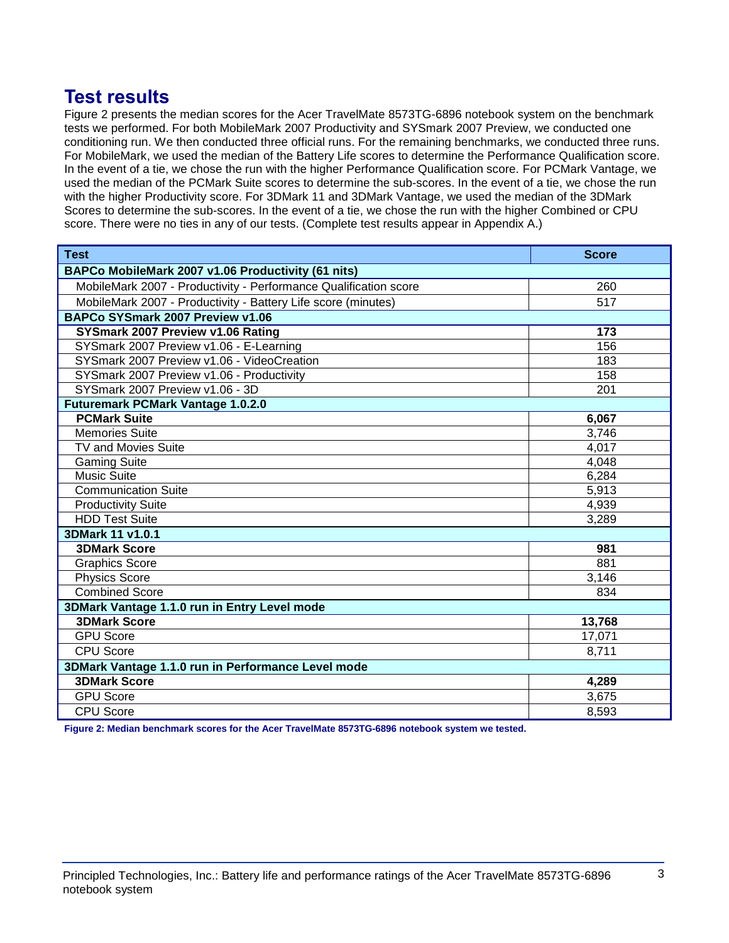## **Test results**

Figure 2 presents the median scores for the Acer TravelMate 8573TG-6896 notebook system on the benchmark tests we performed. For both MobileMark 2007 Productivity and SYSmark 2007 Preview, we conducted one conditioning run. We then conducted three official runs. For the remaining benchmarks, we conducted three runs. For MobileMark, we used the median of the Battery Life scores to determine the Performance Qualification score. In the event of a tie, we chose the run with the higher Performance Qualification score. For PCMark Vantage, we used the median of the PCMark Suite scores to determine the sub-scores. In the event of a tie, we chose the run with the higher Productivity score. For 3DMark 11 and 3DMark Vantage, we used the median of the 3DMark Scores to determine the sub-scores. In the event of a tie, we chose the run with the higher Combined or CPU score. There were no ties in any of our tests. (Complete test results appear in Appendix A.)

| <b>Test</b>                                                      | <b>Score</b> |  |
|------------------------------------------------------------------|--------------|--|
| BAPCo MobileMark 2007 v1.06 Productivity (61 nits)               |              |  |
| MobileMark 2007 - Productivity - Performance Qualification score | 260          |  |
| MobileMark 2007 - Productivity - Battery Life score (minutes)    | 517          |  |
| BAPCo SYSmark 2007 Preview v1.06                                 |              |  |
| SYSmark 2007 Preview v1.06 Rating                                | 173          |  |
| SYSmark 2007 Preview v1.06 - E-Learning                          | 156          |  |
| SYSmark 2007 Preview v1.06 - VideoCreation                       | 183          |  |
| SYSmark 2007 Preview v1.06 - Productivity                        | 158          |  |
| SYSmark 2007 Preview v1.06 - 3D                                  | 201          |  |
| <b>Futuremark PCMark Vantage 1.0.2.0</b>                         |              |  |
| <b>PCMark Suite</b>                                              | 6,067        |  |
| <b>Memories Suite</b>                                            | 3,746        |  |
| <b>TV and Movies Suite</b>                                       | 4,017        |  |
| <b>Gaming Suite</b>                                              | 4,048        |  |
| <b>Music Suite</b>                                               | 6,284        |  |
| <b>Communication Suite</b>                                       | 5.913        |  |
| <b>Productivity Suite</b>                                        | 4,939        |  |
| <b>HDD Test Suite</b>                                            | 3,289        |  |
| 3DMark 11 v1.0.1                                                 |              |  |
| <b>3DMark Score</b>                                              | 981          |  |
| <b>Graphics Score</b>                                            | 881          |  |
| <b>Physics Score</b>                                             | 3,146        |  |
| <b>Combined Score</b>                                            | 834          |  |
| 3DMark Vantage 1.1.0 run in Entry Level mode                     |              |  |
| <b>3DMark Score</b>                                              | 13,768       |  |
| <b>GPU</b> Score                                                 | 17,071       |  |
| <b>CPU Score</b>                                                 | 8,711        |  |
| 3DMark Vantage 1.1.0 run in Performance Level mode               |              |  |
| <b>3DMark Score</b>                                              | 4,289        |  |
| <b>GPU Score</b>                                                 | 3,675        |  |
| <b>CPU Score</b>                                                 | 8,593        |  |

**Figure 2: Median benchmark scores for the Acer TravelMate 8573TG-6896 notebook system we tested.**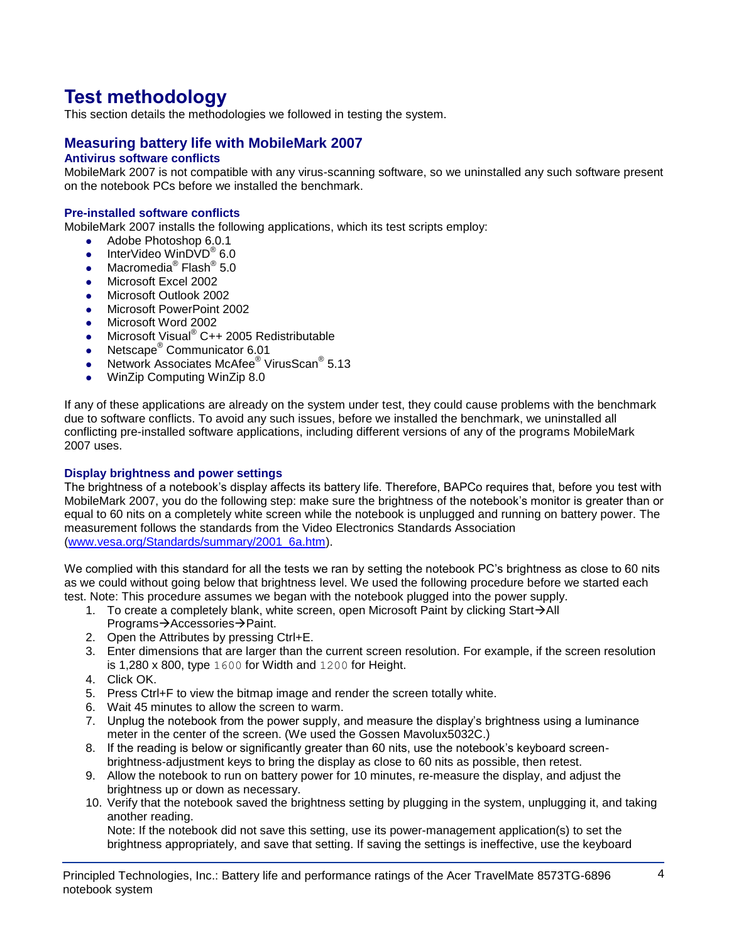# **Test methodology**

This section details the methodologies we followed in testing the system.

## **Measuring battery life with MobileMark 2007**

## **Antivirus software conflicts**

MobileMark 2007 is not compatible with any virus-scanning software, so we uninstalled any such software present on the notebook PCs before we installed the benchmark.

### **Pre-installed software conflicts**

MobileMark 2007 installs the following applications, which its test scripts employ:

- Adobe Photoshop 6.0.1
- InterVideo WinDVD $^{\circ}$  6.0
- Macromedia® Flash® 5.0
- Microsoft Excel 2002
- Microsoft Outlook 2002
- **Microsoft PowerPoint 2002**
- Microsoft Word 2002
- Microsoft Visual<sup>®</sup> C++ 2005 Redistributable
- Netscape<sup>®</sup> Communicator 6.01
- Network Associates McAfee<sup>®</sup> VirusScan<sup>®</sup> 5.13
- WinZip Computing WinZip 8.0

If any of these applications are already on the system under test, they could cause problems with the benchmark due to software conflicts. To avoid any such issues, before we installed the benchmark, we uninstalled all conflicting pre-installed software applications, including different versions of any of the programs MobileMark 2007 uses.

#### **Display brightness and power settings**

The brightness of a notebook's display affects its battery life. Therefore, BAPCo requires that, before you test with MobileMark 2007, you do the following step: make sure the brightness of the notebook's monitor is greater than or equal to 60 nits on a completely white screen while the notebook is unplugged and running on battery power. The measurement follows the standards from the Video Electronics Standards Association [\(www.vesa.org/Standards/summary/2001\\_6a.htm\)](http://www.vesa.org/Standards/summary/2001_6a.htm).

We complied with this standard for all the tests we ran by setting the notebook PC's brightness as close to 60 nits as we could without going below that brightness level. We used the following procedure before we started each test. Note: This procedure assumes we began with the notebook plugged into the power supply.

- 1. To create a completely blank, white screen, open Microsoft Paint by clicking Start $\rightarrow$ All Programs→Accessories→Paint.
- 2. Open the Attributes by pressing Ctrl+E.
- 3. Enter dimensions that are larger than the current screen resolution. For example, if the screen resolution is 1,280 x 800, type 1600 for Width and 1200 for Height.
- 4. Click OK.
- 5. Press Ctrl+F to view the bitmap image and render the screen totally white.
- 6. Wait 45 minutes to allow the screen to warm.
- 7. Unplug the notebook from the power supply, and measure the display's brightness using a luminance meter in the center of the screen. (We used the Gossen Mavolux5032C.)
- 8. If the reading is below or significantly greater than 60 nits, use the notebook's keyboard screenbrightness-adjustment keys to bring the display as close to 60 nits as possible, then retest.
- 9. Allow the notebook to run on battery power for 10 minutes, re-measure the display, and adjust the brightness up or down as necessary.
- 10. Verify that the notebook saved the brightness setting by plugging in the system, unplugging it, and taking another reading.

Note: If the notebook did not save this setting, use its power-management application(s) to set the brightness appropriately, and save that setting. If saving the settings is ineffective, use the keyboard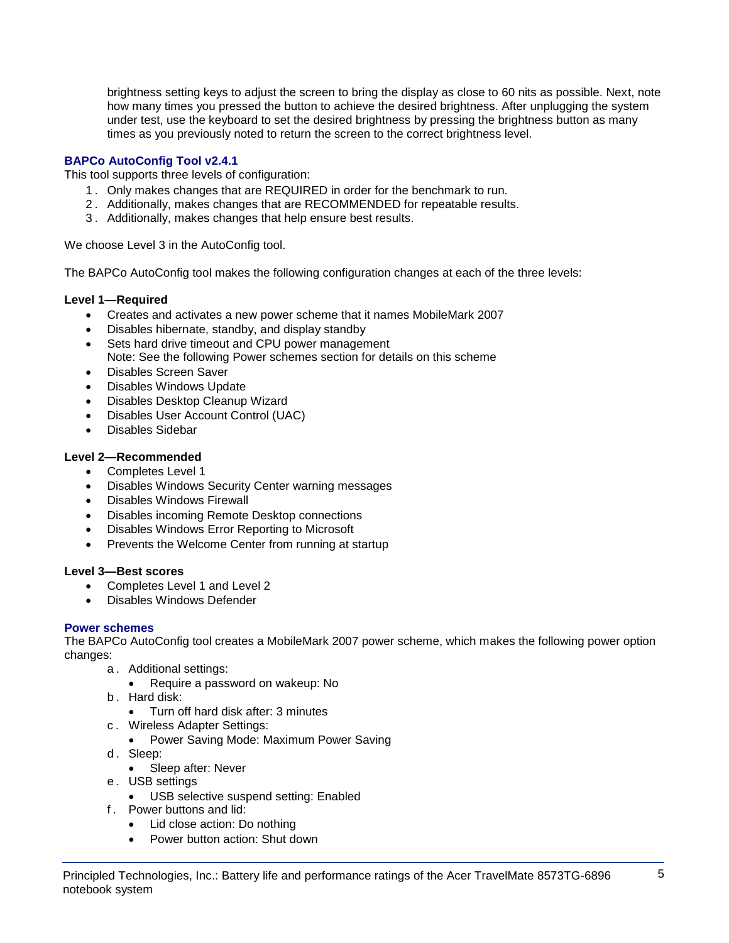brightness setting keys to adjust the screen to bring the display as close to 60 nits as possible. Next, note how many times you pressed the button to achieve the desired brightness. After unplugging the system under test, use the keyboard to set the desired brightness by pressing the brightness button as many times as you previously noted to return the screen to the correct brightness level.

## **BAPCo AutoConfig Tool v2.4.1**

This tool supports three levels of configuration:

- 1 . Only makes changes that are REQUIRED in order for the benchmark to run.
- 2 . Additionally, makes changes that are RECOMMENDED for repeatable results.
- 3 . Additionally, makes changes that help ensure best results.

We choose Level 3 in the AutoConfig tool.

The BAPCo AutoConfig tool makes the following configuration changes at each of the three levels:

### **Level 1—Required**

- Creates and activates a new power scheme that it names MobileMark 2007
- Disables hibernate, standby, and display standby
- Sets hard drive timeout and CPU power management Note: See the following Power schemes section for details on this scheme
- Disables Screen Saver
- Disables Windows Update
- Disables Desktop Cleanup Wizard
- Disables User Account Control (UAC)
- Disables Sidebar

### **Level 2—Recommended**

- Completes Level 1
- Disables Windows Security Center warning messages
- Disables Windows Firewall
- Disables incoming Remote Desktop connections
- Disables Windows Error Reporting to Microsoft
- Prevents the Welcome Center from running at startup

### **Level 3—Best scores**

- Completes Level 1 and Level 2
- Disables Windows Defender

### **Power schemes**

The BAPCo AutoConfig tool creates a MobileMark 2007 power scheme, which makes the following power option changes:

- a . Additional settings:
	- Require a password on wakeup: No
- b . Hard disk:
	- Turn off hard disk after: 3 minutes
- c . Wireless Adapter Settings:
	- Power Saving Mode: Maximum Power Saving
- d. Sleep:
	- Sleep after: Never
- e . USB settings
	- USB selective suspend setting: Enabled
- f . Power buttons and lid:
	- Lid close action: Do nothing
	- Power button action: Shut down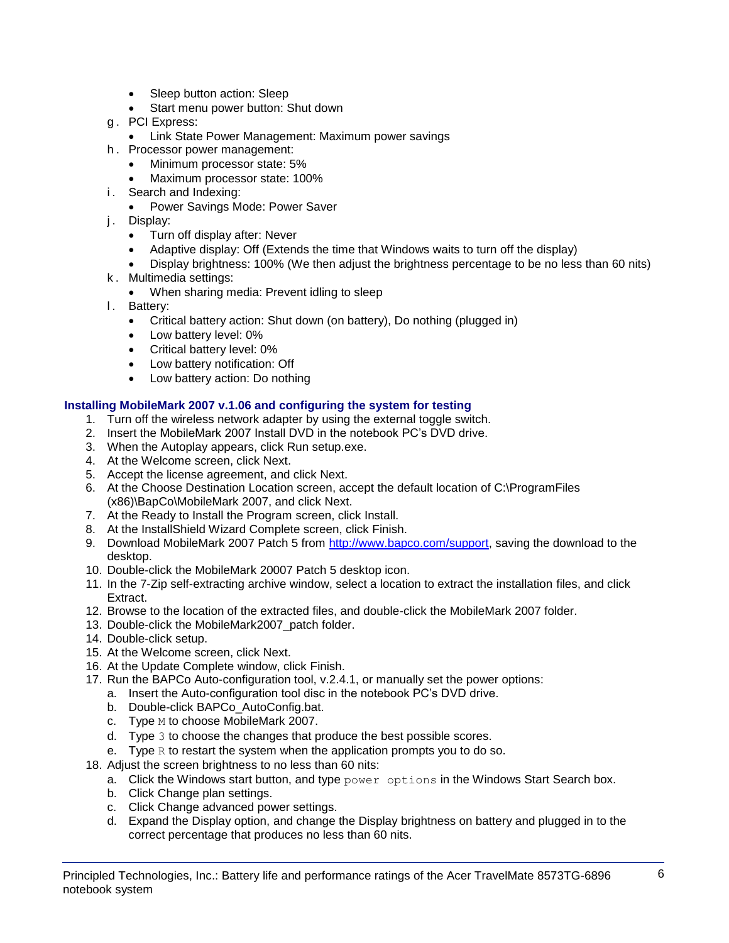- Sleep button action: Sleep
- Start menu power button: Shut down
- g . PCI Express:
	- **Link State Power Management: Maximum power savings**
- h . Processor power management:
	- Minimum processor state: 5%
	- Maximum processor state: 100%
- i. Search and Indexing:
	- Power Savings Mode: Power Saver
- j. Display:
	- Turn off display after: Never
	- Adaptive display: Off (Extends the time that Windows waits to turn off the display)
	- Display brightness: 100% (We then adjust the brightness percentage to be no less than 60 nits)
- k . Multimedia settings:
	- When sharing media: Prevent idling to sleep
- l. Battery:
	- Critical battery action: Shut down (on battery), Do nothing (plugged in)
	- Low battery level: 0%
	- Critical battery level: 0%
	- Low battery notification: Off
	- Low battery action: Do nothing

## **Installing MobileMark 2007 v.1.06 and configuring the system for testing**

- 1. Turn off the wireless network adapter by using the external toggle switch.
- 2. Insert the MobileMark 2007 Install DVD in the notebook PC's DVD drive.
- 3. When the Autoplay appears, click Run setup.exe.
- 4. At the Welcome screen, click Next.
- 5. Accept the license agreement, and click Next.
- 6. At the Choose Destination Location screen, accept the default location of C:\ProgramFiles (x86)\BapCo\MobileMark 2007, and click Next.
- 7. At the Ready to Install the Program screen, click Install.
- 8. At the InstallShield Wizard Complete screen, click Finish.
- 9. Download MobileMark 2007 Patch 5 from [http://www.bapco.com/support,](http://www.bapco.com/support) saving the download to the desktop.
- 10. Double-click the MobileMark 20007 Patch 5 desktop icon.
- 11. In the 7-Zip self-extracting archive window, select a location to extract the installation files, and click Extract.
- 12. Browse to the location of the extracted files, and double-click the MobileMark 2007 folder.
- 13. Double-click the MobileMark2007\_patch folder.
- 14. Double-click setup.
- 15. At the Welcome screen, click Next.
- 16. At the Update Complete window, click Finish.
- 17. Run the BAPCo Auto-configuration tool, v.2.4.1, or manually set the power options:
	- a. Insert the Auto-configuration tool disc in the notebook PC's DVD drive.
	- b. Double-click BAPCo\_AutoConfig.bat.
	- c. Type M to choose MobileMark 2007.
	- d. Type 3 to choose the changes that produce the best possible scores.
	- e. Type  $R$  to restart the system when the application prompts you to do so.
- 18. Adjust the screen brightness to no less than 60 nits:
	- a. Click the Windows start button, and type  $power$  options in the Windows Start Search box.
	- b. Click Change plan settings.
	- c. Click Change advanced power settings.
	- d. Expand the Display option, and change the Display brightness on battery and plugged in to the correct percentage that produces no less than 60 nits.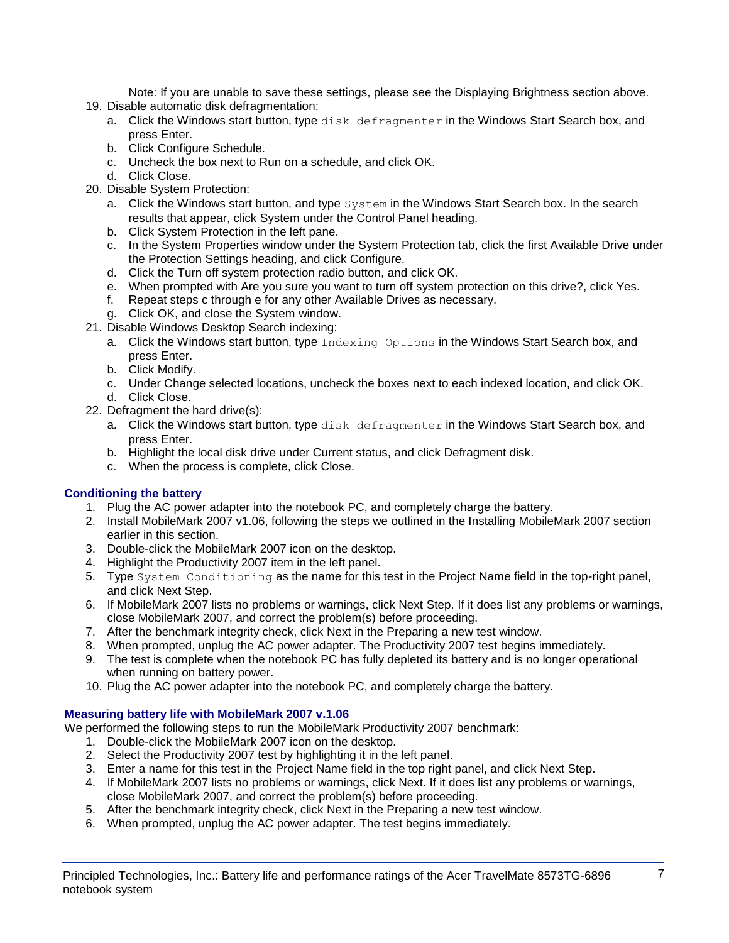Note: If you are unable to save these settings, please see the Displaying Brightness section above.

- 19. Disable automatic disk defragmentation:
	- a. Click the Windows start button, type disk defragmenter in the Windows Start Search box, and press Enter.
	- b. Click Configure Schedule.
	- c. Uncheck the box next to Run on a schedule, and click OK.
	- d. Click Close.
- 20. Disable System Protection:
	- a. Click the Windows start button, and type System in the Windows Start Search box. In the search results that appear, click System under the Control Panel heading.
	- b. Click System Protection in the left pane.
	- c. In the System Properties window under the System Protection tab, click the first Available Drive under the Protection Settings heading, and click Configure.
	- d. Click the Turn off system protection radio button, and click OK.
	- e. When prompted with Are you sure you want to turn off system protection on this drive?, click Yes.
	- f. Repeat steps c through e for any other Available Drives as necessary.
	- g. Click OK, and close the System window.
- 21. Disable Windows Desktop Search indexing:
	- a. Click the Windows start button, type Indexing Options in the Windows Start Search box, and press Enter.
	- b. Click Modify.
	- c. Under Change selected locations, uncheck the boxes next to each indexed location, and click OK. d. Click Close.
- 22. Defragment the hard drive(s):
	- a. Click the Windows start button, type disk defragmenter in the Windows Start Search box, and press Enter.
	- b. Highlight the local disk drive under Current status, and click Defragment disk.
	- c. When the process is complete, click Close.

## **Conditioning the battery**

- 1. Plug the AC power adapter into the notebook PC, and completely charge the battery.
- 2. Install MobileMark 2007 v1.06, following the steps we outlined in the Installing MobileMark 2007 section earlier in this section.
- 3. Double-click the MobileMark 2007 icon on the desktop.
- 4. Highlight the Productivity 2007 item in the left panel.
- 5. Type System Conditioning as the name for this test in the Project Name field in the top-right panel, and click Next Step.
- 6. If MobileMark 2007 lists no problems or warnings, click Next Step. If it does list any problems or warnings, close MobileMark 2007, and correct the problem(s) before proceeding.
- 7. After the benchmark integrity check, click Next in the Preparing a new test window.
- 8. When prompted, unplug the AC power adapter. The Productivity 2007 test begins immediately.
- 9. The test is complete when the notebook PC has fully depleted its battery and is no longer operational when running on battery power.
- 10. Plug the AC power adapter into the notebook PC, and completely charge the battery.

## **Measuring battery life with MobileMark 2007 v.1.06**

We performed the following steps to run the MobileMark Productivity 2007 benchmark:

- 1. Double-click the MobileMark 2007 icon on the desktop.
- 2. Select the Productivity 2007 test by highlighting it in the left panel.
- 3. Enter a name for this test in the Project Name field in the top right panel, and click Next Step.
- 4. If MobileMark 2007 lists no problems or warnings, click Next. If it does list any problems or warnings, close MobileMark 2007, and correct the problem(s) before proceeding.
- 5. After the benchmark integrity check, click Next in the Preparing a new test window.
- 6. When prompted, unplug the AC power adapter. The test begins immediately.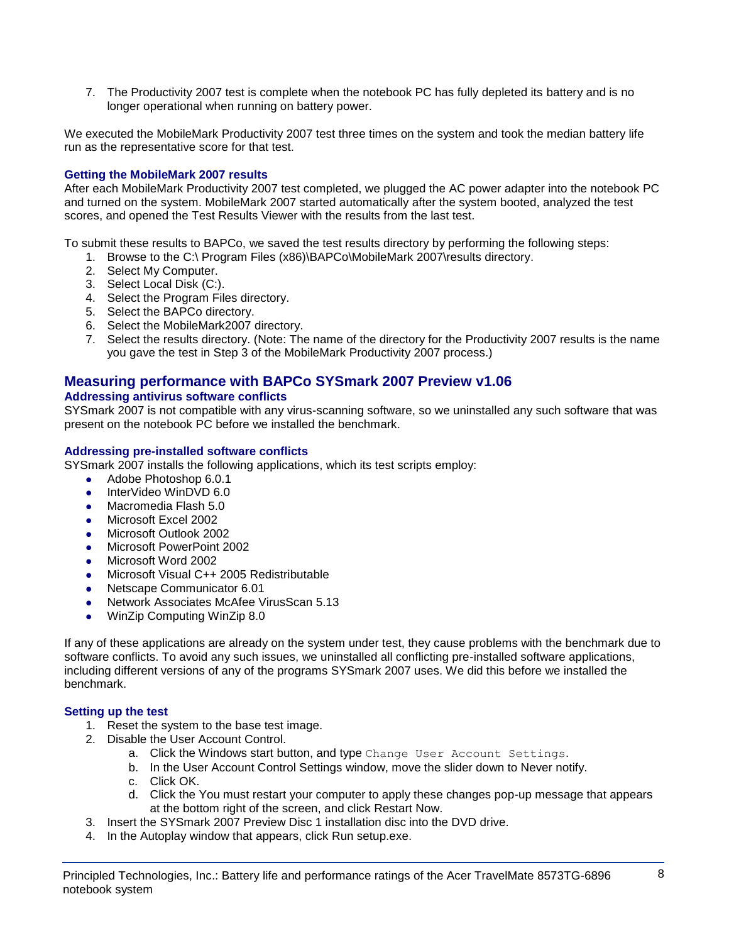7. The Productivity 2007 test is complete when the notebook PC has fully depleted its battery and is no longer operational when running on battery power.

We executed the MobileMark Productivity 2007 test three times on the system and took the median battery life run as the representative score for that test.

### **Getting the MobileMark 2007 results**

After each MobileMark Productivity 2007 test completed, we plugged the AC power adapter into the notebook PC and turned on the system. MobileMark 2007 started automatically after the system booted, analyzed the test scores, and opened the Test Results Viewer with the results from the last test.

To submit these results to BAPCo, we saved the test results directory by performing the following steps:

- 1. Browse to the C:\ Program Files (x86)\BAPCo\MobileMark 2007\results directory.
- 2. Select My Computer.
- 3. Select Local Disk (C:).
- 4. Select the Program Files directory.
- 5. Select the BAPCo directory.
- 6. Select the MobileMark2007 directory.
- 7. Select the results directory. (Note: The name of the directory for the Productivity 2007 results is the name you gave the test in Step 3 of the MobileMark Productivity 2007 process.)

## **Measuring performance with BAPCo SYSmark 2007 Preview v1.06**

#### **Addressing antivirus software conflicts**

SYSmark 2007 is not compatible with any virus-scanning software, so we uninstalled any such software that was present on the notebook PC before we installed the benchmark.

#### **Addressing pre-installed software conflicts**

SYSmark 2007 installs the following applications, which its test scripts employ:

- Adobe Photoshop 6.0.1
- InterVideo WinDVD 6.0
- Macromedia Flash 5.0
- Microsoft Excel 2002
- Microsoft Outlook 2002
- Microsoft PowerPoint 2002
- Microsoft Word 2002
- Microsoft Visual C++ 2005 Redistributable
- Netscape Communicator 6.01
- Network Associates McAfee VirusScan 5.13
- WinZip Computing WinZip 8.0

If any of these applications are already on the system under test, they cause problems with the benchmark due to software conflicts. To avoid any such issues, we uninstalled all conflicting pre-installed software applications, including different versions of any of the programs SYSmark 2007 uses. We did this before we installed the benchmark.

#### **Setting up the test**

- 1. Reset the system to the base test image.
- 2. Disable the User Account Control.
	- a. Click the Windows start button, and type Change User Account Settings.
	- b. In the User Account Control Settings window, move the slider down to Never notify.
	- c. Click OK.
	- d. Click the You must restart your computer to apply these changes pop-up message that appears at the bottom right of the screen, and click Restart Now.
- 3. Insert the SYSmark 2007 Preview Disc 1 installation disc into the DVD drive.
- 4. In the Autoplay window that appears, click Run setup.exe.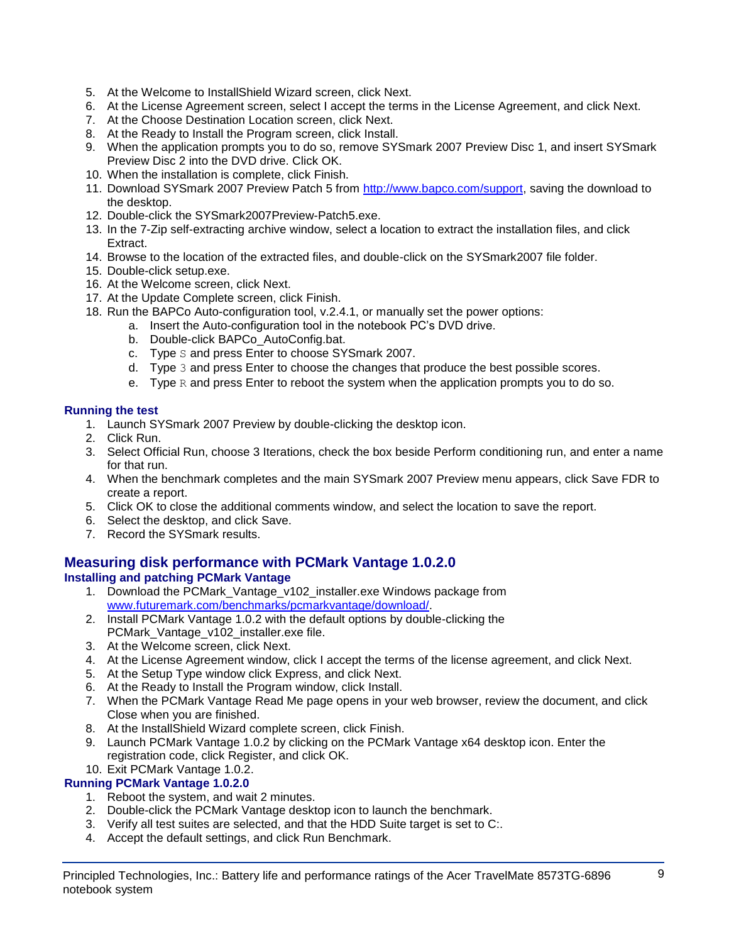- 5. At the Welcome to InstallShield Wizard screen, click Next.
- 6. At the License Agreement screen, select I accept the terms in the License Agreement, and click Next.
- 7. At the Choose Destination Location screen, click Next.
- 8. At the Ready to Install the Program screen, click Install.
- 9. When the application prompts you to do so, remove SYSmark 2007 Preview Disc 1, and insert SYSmark Preview Disc 2 into the DVD drive. Click OK.
- 10. When the installation is complete, click Finish.
- 11. Download SYSmark 2007 Preview Patch 5 from [http://www.bapco.com/support,](http://www.bapco.com/support) saving the download to the desktop.
- 12. Double-click the SYSmark2007Preview-Patch5.exe.
- 13. In the 7-Zip self-extracting archive window, select a location to extract the installation files, and click Extract.
- 14. Browse to the location of the extracted files, and double-click on the SYSmark2007 file folder.
- 15. Double-click setup.exe.
- 16. At the Welcome screen, click Next.
- 17. At the Update Complete screen, click Finish.
- 18. Run the BAPCo Auto-configuration tool, v.2.4.1, or manually set the power options:
	- a. Insert the Auto-configuration tool in the notebook PC's DVD drive.
		- b. Double-click BAPCo\_AutoConfig.bat.
		- c. Type S and press Enter to choose SYSmark 2007.
		- d. Type 3 and press Enter to choose the changes that produce the best possible scores.
		- e. Type  $R$  and press Enter to reboot the system when the application prompts you to do so.

## **Running the test**

- 1. Launch SYSmark 2007 Preview by double-clicking the desktop icon.
- 2. Click Run.
- 3. Select Official Run, choose 3 Iterations, check the box beside Perform conditioning run, and enter a name for that run.
- 4. When the benchmark completes and the main SYSmark 2007 Preview menu appears, click Save FDR to create a report.
- 5. Click OK to close the additional comments window, and select the location to save the report.
- 6. Select the desktop, and click Save.
- 7. Record the SYSmark results.

## **Measuring disk performance with PCMark Vantage 1.0.2.0**

## **Installing and patching PCMark Vantage**

- 1. Download the PCMark\_Vantage\_v102\_installer.exe Windows package from [www.futuremark.com/benchmarks/pcmarkvantage/download/.](http://www.futuremark.com/benchmarks/pcmarkvantage/download/)
- 2. Install PCMark Vantage 1.0.2 with the default options by double-clicking the PCMark\_Vantage\_v102\_installer.exe file.
- 3. At the Welcome screen, click Next.
- 4. At the License Agreement window, click I accept the terms of the license agreement, and click Next.
- 5. At the Setup Type window click Express, and click Next.
- 6. At the Ready to Install the Program window, click Install.
- 7. When the PCMark Vantage Read Me page opens in your web browser, review the document, and click Close when you are finished.
- 8. At the InstallShield Wizard complete screen, click Finish.
- 9. Launch PCMark Vantage 1.0.2 by clicking on the PCMark Vantage x64 desktop icon. Enter the registration code, click Register, and click OK.

## 10. Exit PCMark Vantage 1.0.2.

## **Running PCMark Vantage 1.0.2.0**

- 1. Reboot the system, and wait 2 minutes.
- 2. Double-click the PCMark Vantage desktop icon to launch the benchmark.
- 3. Verify all test suites are selected, and that the HDD Suite target is set to C:.
- 4. Accept the default settings, and click Run Benchmark.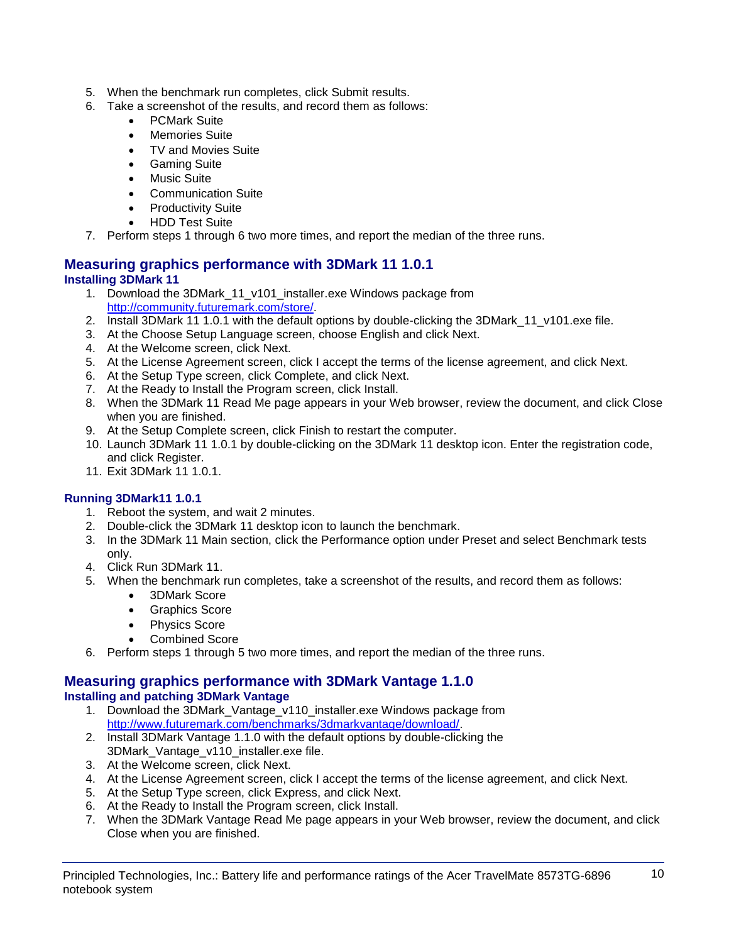- 5. When the benchmark run completes, click Submit results.
- 6. Take a screenshot of the results, and record them as follows:
	- PCMark Suite
	- Memories Suite
	- TV and Movies Suite
	- Gaming Suite
	- Music Suite
	- Communication Suite
	- Productivity Suite
	- HDD Test Suite
- 7. Perform steps 1 through 6 two more times, and report the median of the three runs.

## **Measuring graphics performance with 3DMark 11 1.0.1 Installing 3DMark 11**

- 1. Download the 3DMark\_11\_v101\_installer.exe Windows package from [http://community.futuremark.com/store/.](http://community.futuremark.com/store/)
- 2. Install 3DMark 11 1.0.1 with the default options by double-clicking the 3DMark 11 v101.exe file.
- 3. At the Choose Setup Language screen, choose English and click Next.
- 4. At the Welcome screen, click Next.
- 5. At the License Agreement screen, click I accept the terms of the license agreement, and click Next.
- 6. At the Setup Type screen, click Complete, and click Next.
- 7. At the Ready to Install the Program screen, click Install.
- 8. When the 3DMark 11 Read Me page appears in your Web browser, review the document, and click Close when you are finished.
- 9. At the Setup Complete screen, click Finish to restart the computer.
- 10. Launch 3DMark 11 1.0.1 by double-clicking on the 3DMark 11 desktop icon. Enter the registration code, and click Register.
- 11. Exit 3DMark 11 1.0.1.

## **Running 3DMark11 1.0.1**

- 1. Reboot the system, and wait 2 minutes.
- 2. Double-click the 3DMark 11 desktop icon to launch the benchmark.
- 3. In the 3DMark 11 Main section, click the Performance option under Preset and select Benchmark tests only.
- 4. Click Run 3DMark 11.
- 5. When the benchmark run completes, take a screenshot of the results, and record them as follows:
	- 3DMark Score
	- Graphics Score
	- Physics Score
	- Combined Score
- 6. Perform steps 1 through 5 two more times, and report the median of the three runs.

#### **Measuring graphics performance with 3DMark Vantage 1.1.0 Installing and patching 3DMark Vantage**

- 1. Download the 3DMark Vantage v110 installer.exe Windows package from [http://www.futuremark.com/benchmarks/3dmarkvantage/download/.](http://www.futuremark.com/benchmarks/3dmarkvantage/download/)
- 2. Install 3DMark Vantage 1.1.0 with the default options by double-clicking the 3DMark\_Vantage\_v110\_installer.exe file.
- 3. At the Welcome screen, click Next.
- 4. At the License Agreement screen, click I accept the terms of the license agreement, and click Next.
- 5. At the Setup Type screen, click Express, and click Next.
- 6. At the Ready to Install the Program screen, click Install.
- 7. When the 3DMark Vantage Read Me page appears in your Web browser, review the document, and click Close when you are finished.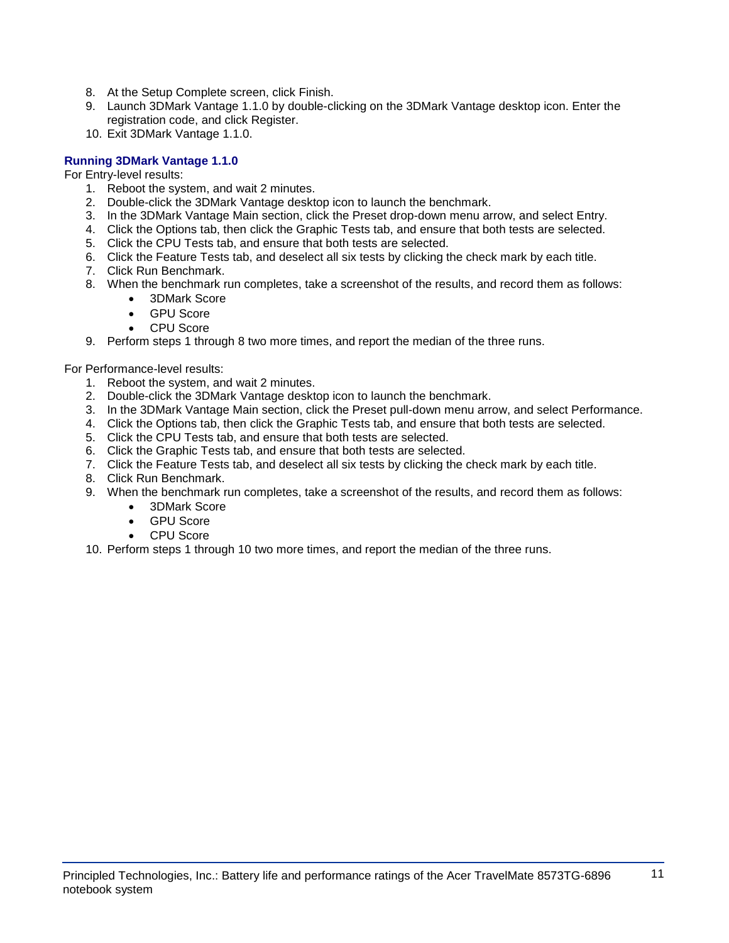- 8. At the Setup Complete screen, click Finish.
- 9. Launch 3DMark Vantage 1.1.0 by double-clicking on the 3DMark Vantage desktop icon. Enter the registration code, and click Register.
- 10. Exit 3DMark Vantage 1.1.0.

## **Running 3DMark Vantage 1.1.0**

For Entry-level results:

- 1. Reboot the system, and wait 2 minutes.
- 2. Double-click the 3DMark Vantage desktop icon to launch the benchmark.
- 3. In the 3DMark Vantage Main section, click the Preset drop-down menu arrow, and select Entry.
- 4. Click the Options tab, then click the Graphic Tests tab, and ensure that both tests are selected.
- 5. Click the CPU Tests tab, and ensure that both tests are selected.
- 6. Click the Feature Tests tab, and deselect all six tests by clicking the check mark by each title.
- 7. Click Run Benchmark.
- 8. When the benchmark run completes, take a screenshot of the results, and record them as follows:
	- 3DMark Score
	- GPU Score
	- CPU Score
- 9. Perform steps 1 through 8 two more times, and report the median of the three runs.

For Performance-level results:

- 1. Reboot the system, and wait 2 minutes.
- 2. Double-click the 3DMark Vantage desktop icon to launch the benchmark.
- 3. In the 3DMark Vantage Main section, click the Preset pull-down menu arrow, and select Performance.
- 4. Click the Options tab, then click the Graphic Tests tab, and ensure that both tests are selected.
- 5. Click the CPU Tests tab, and ensure that both tests are selected.
- 6. Click the Graphic Tests tab, and ensure that both tests are selected.
- 7. Click the Feature Tests tab, and deselect all six tests by clicking the check mark by each title.
- 8. Click Run Benchmark.
- 9. When the benchmark run completes, take a screenshot of the results, and record them as follows:
	- 3DMark Score
	- GPU Score
	- CPU Score
- 10. Perform steps 1 through 10 two more times, and report the median of the three runs.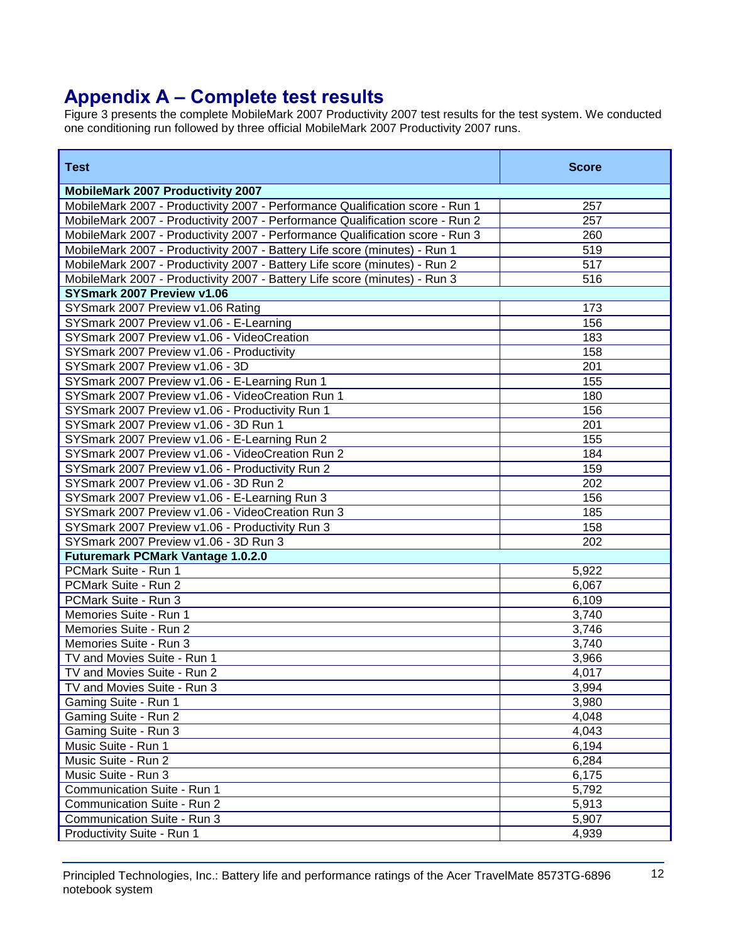# **Appendix A – Complete test results**

Figure 3 presents the complete MobileMark 2007 Productivity 2007 test results for the test system. We conducted one conditioning run followed by three official MobileMark 2007 Productivity 2007 runs.

| <b>Test</b>                                                                   | <b>Score</b> |
|-------------------------------------------------------------------------------|--------------|
| <b>MobileMark 2007 Productivity 2007</b>                                      |              |
| MobileMark 2007 - Productivity 2007 - Performance Qualification score - Run 1 | 257          |
| MobileMark 2007 - Productivity 2007 - Performance Qualification score - Run 2 | 257          |
| MobileMark 2007 - Productivity 2007 - Performance Qualification score - Run 3 | 260          |
| MobileMark 2007 - Productivity 2007 - Battery Life score (minutes) - Run 1    | 519          |
| MobileMark 2007 - Productivity 2007 - Battery Life score (minutes) - Run 2    | 517          |
| MobileMark 2007 - Productivity 2007 - Battery Life score (minutes) - Run 3    | 516          |
| SYSmark 2007 Preview v1.06                                                    |              |
| SYSmark 2007 Preview v1.06 Rating                                             | 173          |
| SYSmark 2007 Preview v1.06 - E-Learning                                       | 156          |
| SYSmark 2007 Preview v1.06 - VideoCreation                                    | 183          |
| SYSmark 2007 Preview v1.06 - Productivity                                     | 158          |
| SYSmark 2007 Preview v1.06 - 3D                                               | 201          |
| SYSmark 2007 Preview v1.06 - E-Learning Run 1                                 | 155          |
| SYSmark 2007 Preview v1.06 - VideoCreation Run 1                              | 180          |
| SYSmark 2007 Preview v1.06 - Productivity Run 1                               | 156          |
| SYSmark 2007 Preview v1.06 - 3D Run 1                                         | 201          |
| SYSmark 2007 Preview v1.06 - E-Learning Run 2                                 | 155          |
| SYSmark 2007 Preview v1.06 - VideoCreation Run 2                              | 184          |
| SYSmark 2007 Preview v1.06 - Productivity Run 2                               | 159          |
| SYSmark 2007 Preview v1.06 - 3D Run 2                                         | 202          |
| SYSmark 2007 Preview v1.06 - E-Learning Run 3                                 | 156          |
| SYSmark 2007 Preview v1.06 - VideoCreation Run 3                              | 185          |
| SYSmark 2007 Preview v1.06 - Productivity Run 3                               | 158          |
| SYSmark 2007 Preview v1.06 - 3D Run 3                                         | 202          |
| <b>Futuremark PCMark Vantage 1.0.2.0</b>                                      |              |
| PCMark Suite - Run 1                                                          | 5,922        |
| PCMark Suite - Run 2                                                          | 6,067        |
| PCMark Suite - Run 3                                                          | 6,109        |
| Memories Suite - Run 1                                                        | 3,740        |
| Memories Suite - Run 2                                                        | 3,746        |
| Memories Suite - Run 3                                                        | 3,740        |
| TV and Movies Suite - Run 1                                                   | 3,966        |
| TV and Movies Suite - Run 2                                                   | 4,017        |
| TV and Movies Suite - Run 3                                                   | 3,994        |
| Gaming Suite - Run 1                                                          | 3,980        |
| Gaming Suite - Run 2                                                          | 4,048        |
| Gaming Suite - Run 3                                                          | 4,043        |
| Music Suite - Run 1                                                           | 6,194        |
| Music Suite - Run 2                                                           | 6,284        |
| Music Suite - Run 3                                                           | 6,175        |
| Communication Suite - Run 1                                                   | 5,792        |
| Communication Suite - Run 2                                                   | 5,913        |
| Communication Suite - Run 3                                                   | 5,907        |
| Productivity Suite - Run 1                                                    | 4,939        |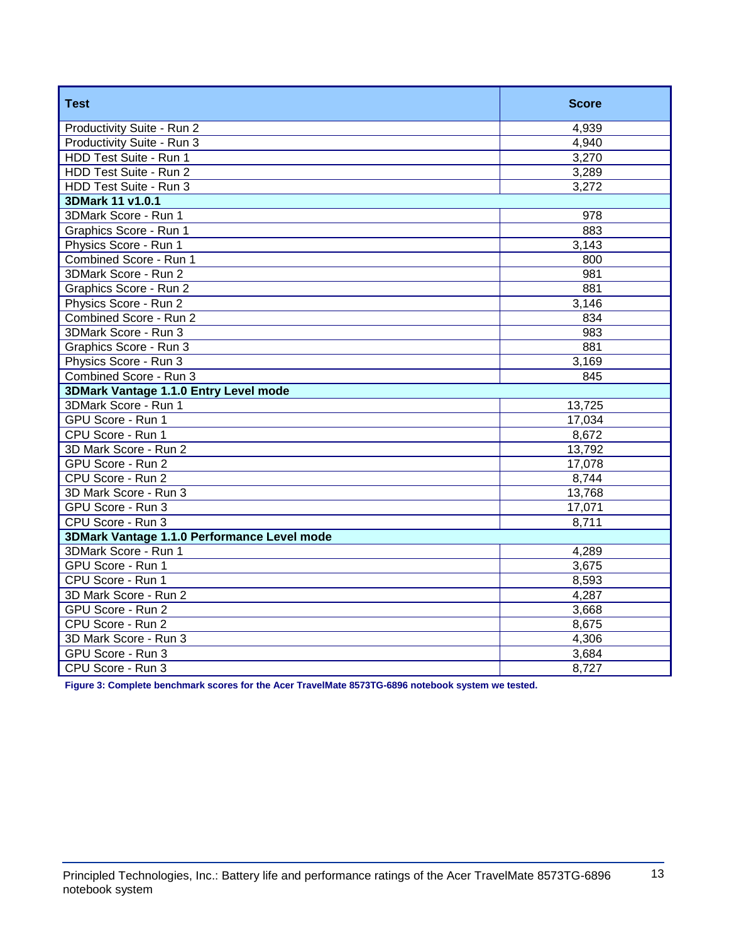| <b>Test</b>                                 | <b>Score</b> |
|---------------------------------------------|--------------|
| Productivity Suite - Run 2                  | 4,939        |
| Productivity Suite - Run 3                  | 4,940        |
| HDD Test Suite - Run 1                      | 3,270        |
| HDD Test Suite - Run 2                      | 3,289        |
| HDD Test Suite - Run 3                      | 3,272        |
| 3DMark 11 v1.0.1                            |              |
| 3DMark Score - Run 1                        | 978          |
| Graphics Score - Run 1                      | 883          |
| Physics Score - Run 1                       | 3,143        |
| Combined Score - Run 1                      | 800          |
| 3DMark Score - Run 2                        | 981          |
| Graphics Score - Run 2                      | 881          |
| Physics Score - Run 2                       | 3,146        |
| Combined Score - Run 2                      | 834          |
| 3DMark Score - Run 3                        | 983          |
| Graphics Score - Run 3                      | 881          |
| Physics Score - Run 3                       | 3,169        |
| Combined Score - Run 3                      | 845          |
| 3DMark Vantage 1.1.0 Entry Level mode       |              |
| 3DMark Score - Run 1                        | 13,725       |
| GPU Score - Run 1                           | 17,034       |
| CPU Score - Run 1                           | 8,672        |
| 3D Mark Score - Run 2                       | 13,792       |
| GPU Score - Run 2                           | 17,078       |
| CPU Score - Run 2                           | 8,744        |
| 3D Mark Score - Run 3                       | 13,768       |
| GPU Score - Run 3                           | 17,071       |
| CPU Score - Run 3                           | 8,711        |
| 3DMark Vantage 1.1.0 Performance Level mode |              |
| 3DMark Score - Run 1                        | 4,289        |
| GPU Score - Run 1                           | 3,675        |
| CPU Score - Run 1                           | 8,593        |
| 3D Mark Score - Run 2                       | 4,287        |
| GPU Score - Run 2                           | 3,668        |
| CPU Score - Run 2                           | 8,675        |
| 3D Mark Score - Run 3                       | 4,306        |
| GPU Score - Run 3                           | 3,684        |
| CPU Score - Run 3                           | 8,727        |

**Figure 3: Complete benchmark scores for the Acer TravelMate 8573TG-6896 notebook system we tested.**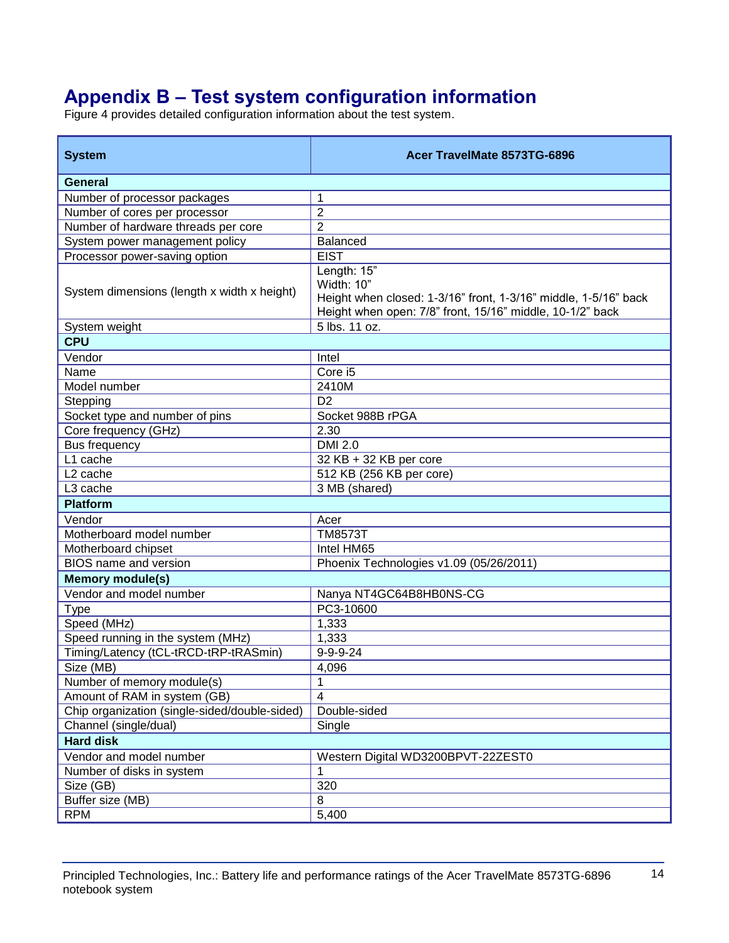# **Appendix B – Test system configuration information**

Figure 4 provides detailed configuration information about the test system.

| <b>System</b>                                 | Acer TravelMate 8573TG-6896                                                                                                                               |  |
|-----------------------------------------------|-----------------------------------------------------------------------------------------------------------------------------------------------------------|--|
| General                                       |                                                                                                                                                           |  |
| Number of processor packages                  | 1                                                                                                                                                         |  |
| Number of cores per processor                 | $\overline{2}$                                                                                                                                            |  |
| Number of hardware threads per core           | $\overline{2}$                                                                                                                                            |  |
| System power management policy                | <b>Balanced</b>                                                                                                                                           |  |
| Processor power-saving option                 | <b>EIST</b>                                                                                                                                               |  |
| System dimensions (length x width x height)   | Length: 15"<br>Width: 10"<br>Height when closed: 1-3/16" front, 1-3/16" middle, 1-5/16" back<br>Height when open: 7/8" front, 15/16" middle, 10-1/2" back |  |
| System weight                                 | 5 lbs. 11 oz.                                                                                                                                             |  |
| <b>CPU</b>                                    |                                                                                                                                                           |  |
| Vendor                                        | Intel                                                                                                                                                     |  |
| Name                                          | Core i5                                                                                                                                                   |  |
| Model number                                  | 2410M                                                                                                                                                     |  |
| Stepping                                      | D <sub>2</sub>                                                                                                                                            |  |
| Socket type and number of pins                | Socket 988B rPGA                                                                                                                                          |  |
| Core frequency (GHz)                          | 2.30                                                                                                                                                      |  |
| <b>Bus frequency</b>                          | <b>DMI 2.0</b>                                                                                                                                            |  |
| L1 cache                                      | 32 KB + 32 KB per core                                                                                                                                    |  |
| L <sub>2</sub> cache                          | 512 KB (256 KB per core)                                                                                                                                  |  |
| L3 cache                                      | 3 MB (shared)                                                                                                                                             |  |
| <b>Platform</b>                               |                                                                                                                                                           |  |
| Vendor                                        | Acer                                                                                                                                                      |  |
| Motherboard model number                      | <b>TM8573T</b>                                                                                                                                            |  |
| Motherboard chipset                           | Intel HM65                                                                                                                                                |  |
| <b>BIOS</b> name and version                  | Phoenix Technologies v1.09 (05/26/2011)                                                                                                                   |  |
| <b>Memory module(s)</b>                       |                                                                                                                                                           |  |
| Vendor and model number                       | Nanya NT4GC64B8HB0NS-CG                                                                                                                                   |  |
| <b>Type</b>                                   | PC3-10600                                                                                                                                                 |  |
| Speed (MHz)                                   | 1,333                                                                                                                                                     |  |
| Speed running in the system (MHz)             | 1,333                                                                                                                                                     |  |
| Timing/Latency (tCL-tRCD-tRP-tRASmin)         | $9 - 9 - 9 - 24$                                                                                                                                          |  |
| Size (MB)                                     | 4,096                                                                                                                                                     |  |
| Number of memory module(s)                    | 1                                                                                                                                                         |  |
| Amount of RAM in system (GB)                  | $\overline{\mathbf{4}}$                                                                                                                                   |  |
| Chip organization (single-sided/double-sided) | Double-sided                                                                                                                                              |  |
| Channel (single/dual)                         | Single                                                                                                                                                    |  |
| <b>Hard disk</b>                              |                                                                                                                                                           |  |
| Vendor and model number                       | Western Digital WD3200BPVT-22ZEST0                                                                                                                        |  |
| Number of disks in system                     | 1                                                                                                                                                         |  |
| Size (GB)                                     | 320                                                                                                                                                       |  |
| Buffer size (MB)                              | 8                                                                                                                                                         |  |
| <b>RPM</b>                                    | 5,400                                                                                                                                                     |  |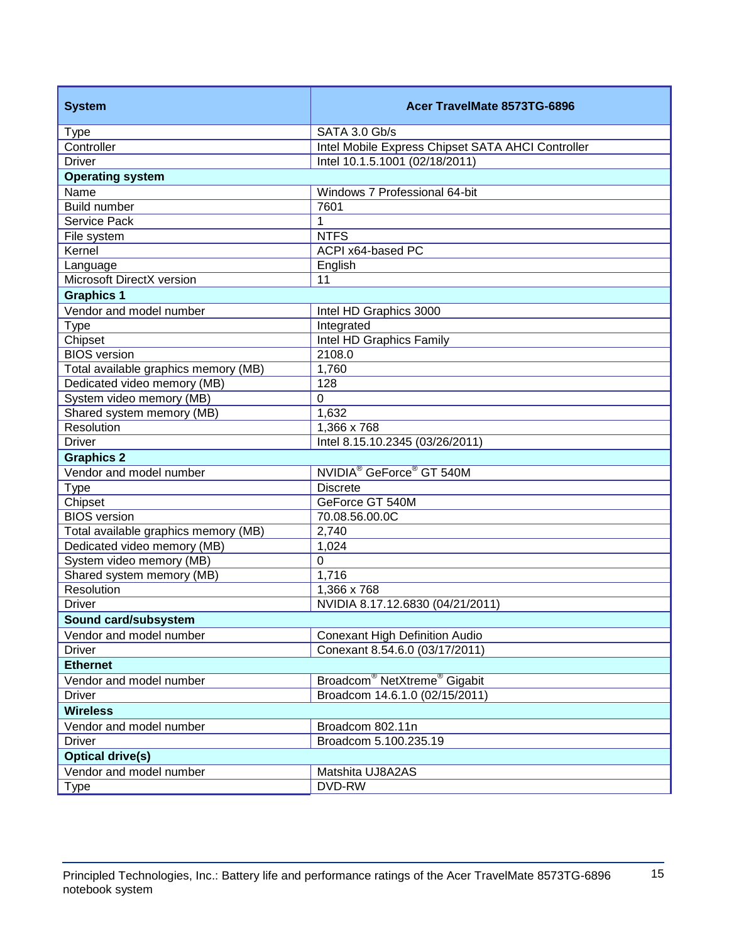| <b>System</b>                                         | Acer TravelMate 8573TG-6896                          |  |
|-------------------------------------------------------|------------------------------------------------------|--|
| <b>Type</b>                                           | SATA 3.0 Gb/s                                        |  |
| Controller                                            | Intel Mobile Express Chipset SATA AHCI Controller    |  |
| <b>Driver</b>                                         | Intel 10.1.5.1001 (02/18/2011)                       |  |
| <b>Operating system</b>                               |                                                      |  |
| Name                                                  | Windows 7 Professional 64-bit                        |  |
| <b>Build number</b>                                   | 7601                                                 |  |
| <b>Service Pack</b>                                   | $\mathbf{1}$                                         |  |
| File system                                           | <b>NTFS</b>                                          |  |
| Kernel                                                | ACPI x64-based PC                                    |  |
| Language                                              | English                                              |  |
| Microsoft DirectX version                             | 11                                                   |  |
| <b>Graphics 1</b>                                     |                                                      |  |
| Vendor and model number                               | Intel HD Graphics 3000                               |  |
| <b>Type</b>                                           | Integrated                                           |  |
| Chipset                                               | Intel HD Graphics Family                             |  |
| <b>BIOS</b> version                                   | 2108.0                                               |  |
| Total available graphics memory (MB)                  | 1,760                                                |  |
| Dedicated video memory (MB)                           | 128<br>$\mathbf 0$                                   |  |
| System video memory (MB)<br>Shared system memory (MB) | 1,632                                                |  |
| <b>Resolution</b>                                     | 1,366 x 768                                          |  |
| <b>Driver</b>                                         | Intel 8.15.10.2345 (03/26/2011)                      |  |
| <b>Graphics 2</b>                                     |                                                      |  |
| Vendor and model number                               | NVIDIA <sup>®</sup> GeForce <sup>®</sup> GT 540M     |  |
| <b>Type</b>                                           | <b>Discrete</b>                                      |  |
| Chipset                                               | GeForce GT 540M                                      |  |
| <b>BIOS</b> version                                   | 70.08.56.00.0C                                       |  |
| Total available graphics memory (MB)                  | 2,740                                                |  |
| Dedicated video memory (MB)                           | 1,024                                                |  |
| System video memory (MB)                              | 0                                                    |  |
| Shared system memory (MB)                             | 1,716                                                |  |
| Resolution                                            | 1,366 x 768                                          |  |
| <b>Driver</b>                                         | NVIDIA 8.17.12.6830 (04/21/2011)                     |  |
| Sound card/subsystem                                  |                                                      |  |
| Vendor and model number                               | <b>Conexant High Definition Audio</b>                |  |
| <b>Driver</b>                                         | Conexant 8.54.6.0 (03/17/2011)                       |  |
| <b>Ethernet</b>                                       |                                                      |  |
| Vendor and model number                               | Broadcom <sup>®</sup> NetXtreme <sup>®</sup> Gigabit |  |
| <b>Driver</b>                                         | Broadcom 14.6.1.0 (02/15/2011)                       |  |
| <b>Wireless</b>                                       |                                                      |  |
| Vendor and model number                               | Broadcom 802.11n                                     |  |
| <b>Driver</b>                                         | Broadcom 5.100.235.19                                |  |
| <b>Optical drive(s)</b>                               |                                                      |  |
| Vendor and model number                               | Matshita UJ8A2AS                                     |  |
| <b>Type</b>                                           | DVD-RW                                               |  |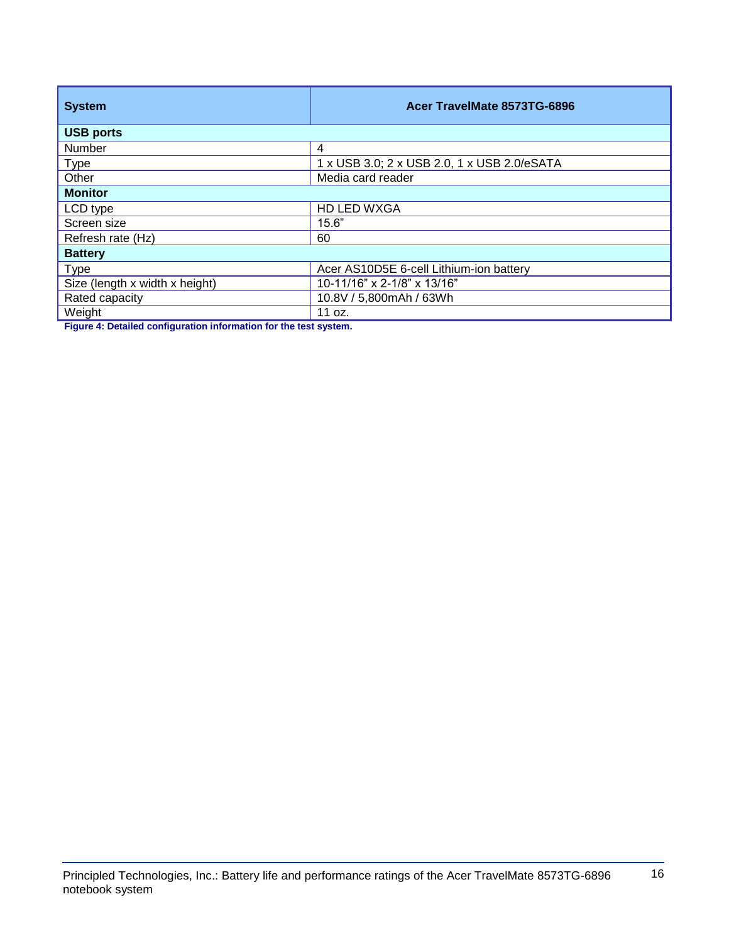| <b>System</b>                  | Acer TravelMate 8573TG-6896                 |  |
|--------------------------------|---------------------------------------------|--|
| <b>USB ports</b>               |                                             |  |
| Number                         | 4                                           |  |
| <b>Type</b>                    | 1 x USB 3.0; 2 x USB 2.0, 1 x USB 2.0/eSATA |  |
| Other                          | Media card reader                           |  |
| <b>Monitor</b>                 |                                             |  |
| LCD type                       | HD LED WXGA                                 |  |
| Screen size                    | 15.6"                                       |  |
| Refresh rate (Hz)              | 60                                          |  |
| <b>Battery</b>                 |                                             |  |
| <b>Type</b>                    | Acer AS10D5E 6-cell Lithium-ion battery     |  |
| Size (length x width x height) | 10-11/16" x 2-1/8" x 13/16"                 |  |
| Rated capacity                 | 10.8V / 5,800mAh / 63Wh                     |  |
| Weight                         | 11 oz.                                      |  |

**Figure 4: Detailed configuration information for the test system.**